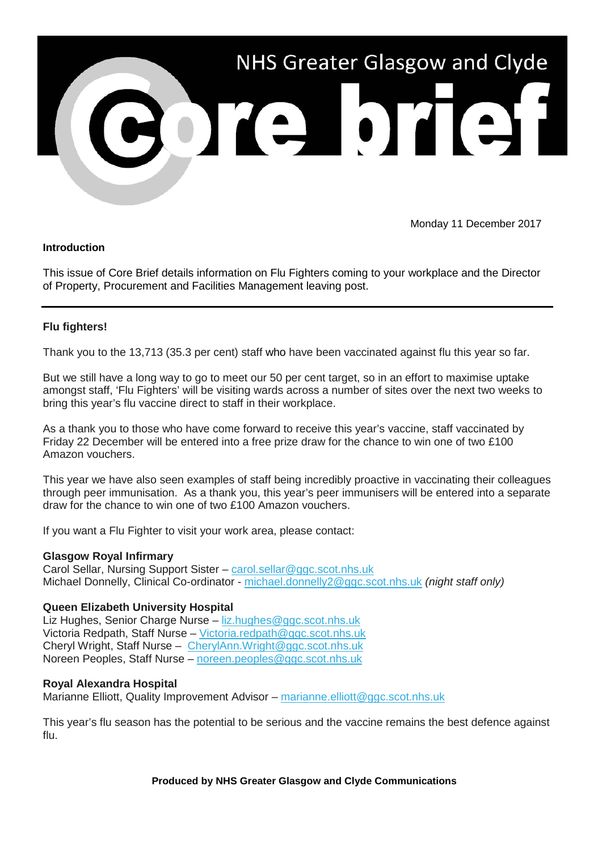

Monday 11 December 2017

### **Introduction**

This issue of Core Brief details information on Flu Fighters coming to your workplace and the Director of Property, Procurement and Facilities Management leaving post.

# **Flu fighters!**

Thank you to the 13,713 (35.3 per cent) staff who have been vaccinated against flu this year so far.

But we still have a long way to go to meet our 50 per cent target, so in an effort to maximise uptake amongst staff, 'Flu Fighters' will be visiting wards across a number of sites over the next two weeks to bring this year's flu vaccine direct to staff in their workplace.

As a thank you to those who have come forward to receive this year's vaccine, staff vaccinated by Friday 22 December will be entered into a free prize draw for the chance to win one of two £100 Amazon vouchers.

This year we have also seen examples of staff being incredibly proactive in vaccinating their colleagues through peer immunisation. As a thank you, this year's peer immunisers will be entered into a separate draw for the chance to win one of two £100 Amazon vouchers.

If you want a Flu Fighter to visit your work area, please contact:

# **Glasgow Royal Infirmary**

Carol Sellar, Nursing Support Sister – [carol.sellar@ggc.scot.nhs.uk](mailto:carol.sellar@ggc.scot.nhs.uk) Michael Donnelly, Clinical Co-ordinator - [michael.donnelly2@ggc.scot.nhs.uk](mailto:michael.donnelly2@ggc.scot.nhs.uk) *(night staff only)*

# **Queen Elizabeth University Hospital**

Liz Hughes, Senior Charge Nurse – [liz.hughes@ggc.scot.nhs.uk](mailto:liz.hughes@ggc.scot.nhs.uk) Victoria Redpath, Staff Nurse – [Victoria.redpath@ggc.scot.nhs.uk](mailto:Victoria.redpath@ggc.scot.nhs.uk) Cheryl Wright, Staff Nurse – [CherylAnn.Wright@ggc.scot.nhs.uk](mailto:CherylAnn.Wright@ggc.scot.nhs.uk) Noreen Peoples, Staff Nurse – [noreen.peoples@ggc.scot.nhs.uk](mailto:noreen.peoples@ggc.scot.nhs.uk)

# **Royal Alexandra Hospital**

Marianne Elliott, Quality Improvement Advisor – [marianne.elliott@ggc.scot.nhs.uk](mailto:marianne.elliott@ggc.scot.nhs.uk)

This year's flu season has the potential to be serious and the vaccine remains the best defence against flu.

### **Produced by NHS Greater Glasgow and Clyde Communications**